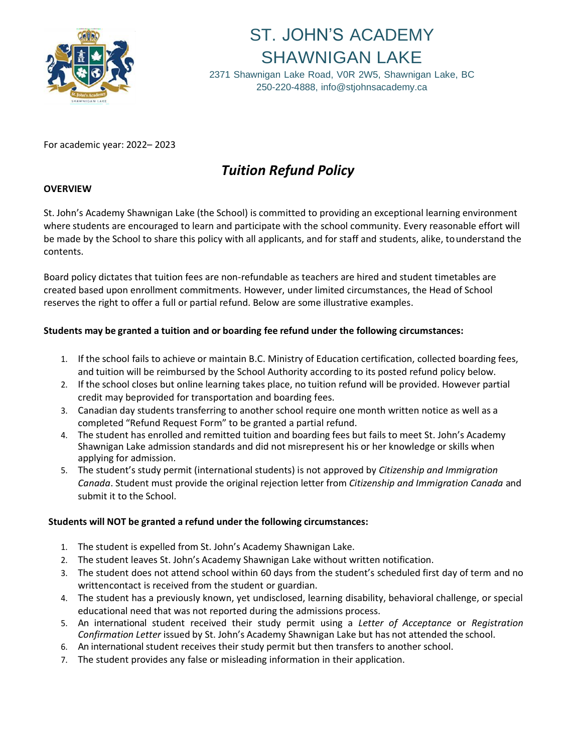

# ST. JOHN'S ACADEMY SHAWNIGAN LAKE

2371 Shawnigan Lake Road, V0R 2W5, Shawnigan Lake, BC 250-220-4888, [info@stjohnsacademy.ca](mailto:info@stjohnsacademy.ca)

For academic year: 2022– 2023

## *Tuition Refund Policy*

### **OVERVIEW**

St. John's Academy Shawnigan Lake (the School) is committed to providing an exceptional learning environment where students are encouraged to learn and participate with the school community. Every reasonable effort will be made by the School to share this policy with all applicants, and for staff and students, alike, to understand the contents.

Board policy dictates that tuition fees are non-refundable as teachers are hired and student timetables are created based upon enrollment commitments. However, under limited circumstances, the Head of School reserves the right to offer a full or partial refund. Below are some illustrative examples.

### **Students may be granted a tuition and or boarding fee refund under the following circumstances:**

- 1. If the school fails to achieve or maintain B.C. Ministry of Education certification, collected boarding fees, and tuition will be reimbursed by the School Authority according to its posted refund policy below.
- 2. If the school closes but online learning takes place, no tuition refund will be provided. However partial credit may beprovided for transportation and boarding fees.
- 3. Canadian day students transferring to another school require one month written notice as well as a completed "Refund Request Form" to be granted a partial refund.
- 4. The student has enrolled and remitted tuition and boarding fees but fails to meet St. John's Academy Shawnigan Lake admission standards and did not misrepresent his or her knowledge or skills when applying for admission.
- 5. The student's study permit (international students) is not approved by *Citizenship and Immigration Canada*. Student must provide the original rejection letter from *Citizenship and Immigration Canada* and submit it to the School.

#### **Students will NOT be granted a refund under the following circumstances:**

- 1. The student is expelled from St. John's Academy Shawnigan Lake.
- 2. The student leaves St. John's Academy Shawnigan Lake without written notification.
- 3. The student does not attend school within 60 days from the student's scheduled first day of term and no writtencontact is received from the student or guardian.
- 4. The student has a previously known, yet undisclosed, learning disability, behavioral challenge, or special educational need that was not reported during the admissions process.
- 5. An international student received their study permit using a *Letter of Acceptance* or *Registration Confirmation Letter* issued by St. John's Academy Shawnigan Lake but has not attended the school.
- 6. An international student receives their study permit but then transfers to another school.
- 7. The student provides any false or misleading information in their application.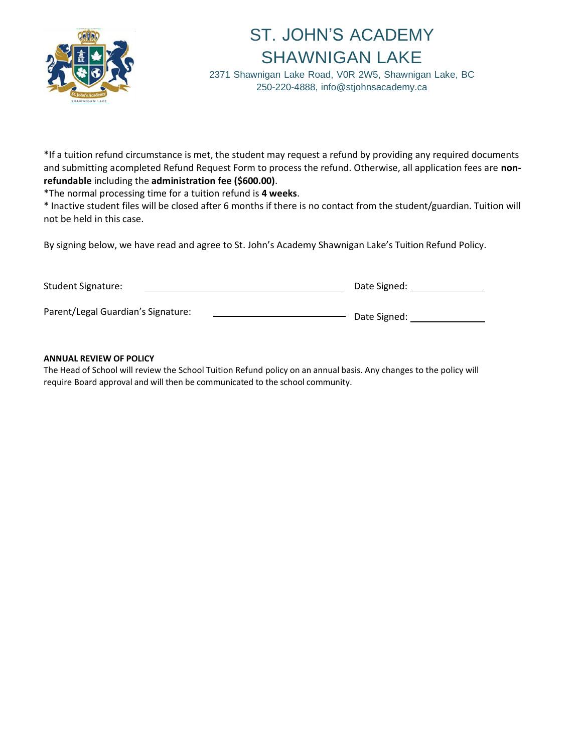

# ST. JOHN'S ACADEMY SHAWNIGAN LAKE

2371 Shawnigan Lake Road, V0R 2W5, Shawnigan Lake, BC 250-220-4888, [info@stjohnsacademy.ca](mailto:info@stjohnsacademy.ca)

\*If a tuition refund circumstance is met, the student may request a refund by providing any required documents and submitting acompleted Refund Request Form to process the refund. Otherwise, all application fees are **nonrefundable** including the **administration fee (\$600.00)**.

\*The normal processing time for a tuition refund is **4 weeks**.

\* Inactive student files will be closed after 6 months if there is no contact from the student/guardian. Tuition will not be held in this case.

By signing below, we have read and agree to St. John's Academy Shawnigan Lake's Tuition Refund Policy.

| <b>Student Signature:</b>          | Date Signed: |
|------------------------------------|--------------|
| Parent/Legal Guardian's Signature: | Date Signed: |

#### **ANNUAL REVIEW OF POLICY**

The Head of School will review the School Tuition Refund policy on an annual basis. Any changes to the policy will require Board approval and will then be communicated to the school community.